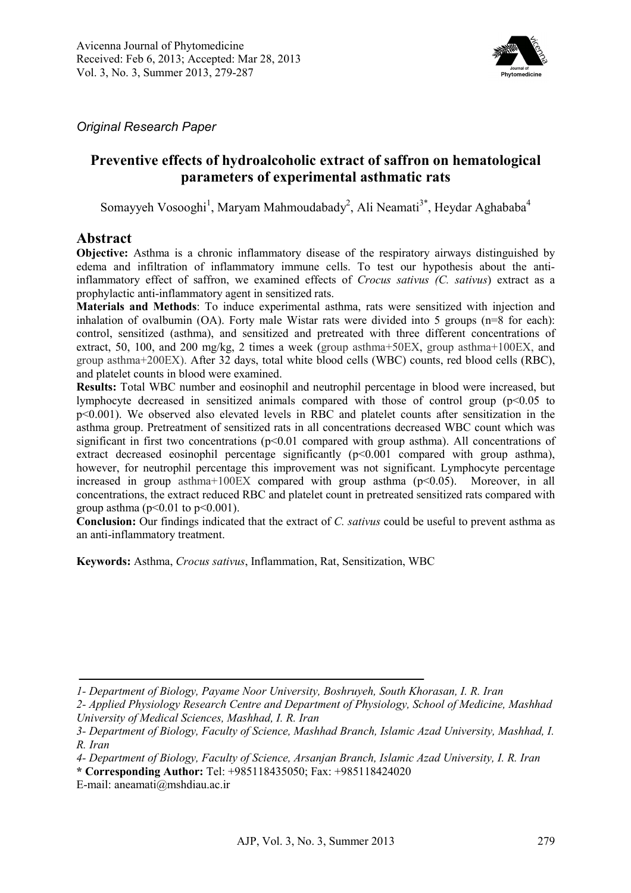

*Original Research Paper*

# **Preventive effects of hydroalcoholic extract of saffron on hematological parameters of experimental asthmatic rats**

Somayyeh Vosooghi<sup>1</sup>, Maryam Mahmoudabady<sup>2</sup>, Ali Neamati<sup>3\*</sup>, Heydar Aghababa<sup>4</sup>

### **Abstract**

**Objective:** Asthma is a chronic inflammatory disease of the respiratory airways distinguished by edema and infiltration of inflammatory immune cells. To test our hypothesis about the antiinflammatory effect of saffron, we examined effects of *Crocus sativus (C. sativus*) extract as a prophylactic anti-inflammatory agent in sensitized rats.

**Materials and Methods**: To induce experimental asthma, rats were sensitized with injection and inhalation of ovalbumin (OA). Forty male Wistar rats were divided into 5 groups (n=8 for each): control, sensitized (asthma), and sensitized and pretreated with three different concentrations of extract, 50, 100, and 200 mg/kg, 2 times a week (group asthma+50EX, group asthma+100EX, and group asthma+200EX). After 32 days, total white blood cells (WBC) counts, red blood cells (RBC), and platelet counts in blood were examined.

**Results:** Total WBC number and eosinophil and neutrophil percentage in blood were increased, but lymphocyte decreased in sensitized animals compared with those of control group (p<0.05 to p<0.001). We observed also elevated levels in RBC and platelet counts after sensitization in the asthma group. Pretreatment of sensitized rats in all concentrations decreased WBC count which was significant in first two concentrations  $(p<0.01)$  compared with group asthma). All concentrations of extract decreased eosinophil percentage significantly (p<0.001 compared with group asthma), however, for neutrophil percentage this improvement was not significant. Lymphocyte percentage increased in group asthma+100EX compared with group asthma  $(p<0.05)$ . Moreover, in all concentrations, the extract reduced RBC and platelet count in pretreated sensitized rats compared with group asthma ( $p < 0.01$  to  $p < 0.001$ ).

**Conclusion:** Our findings indicated that the extract of *C. sativus* could be useful to prevent asthma as an anti-inflammatory treatment.

**Keywords:** Asthma, *Crocus sativus*, Inflammation, Rat, Sensitization, WBC

*<sup>1-</sup> Department of Biology, Payame Noor University, Boshruyeh, South Khorasan, I. R. Iran* 

*<sup>2-</sup> Applied Physiology Research Centre and Department of Physiology, School of Medicine, Mashhad University of Medical Sciences, Mashhad, I. R. Iran*

*<sup>3-</sup> Department of Biology, Faculty of Science, Mashhad Branch, Islamic Azad University, Mashhad, I. R. Iran* 

*<sup>4-</sup> Department of Biology, Faculty of Science, Arsanjan Branch, Islamic Azad University, I. R. Iran* 

**<sup>\*</sup> Corresponding Author:** Tel: +985118435050; Fax: +985118424020

E-mail: aneamati@mshdiau.ac.ir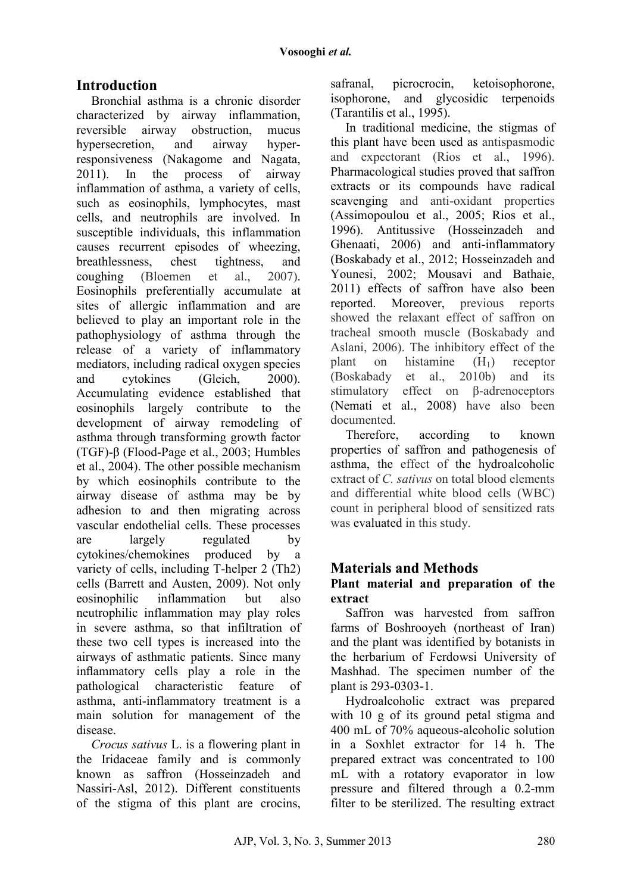# **Introduction**

Bronchial asthma is a chronic disorder characterized by airway inflammation, reversible airway obstruction, mucus hypersecretion, and airway hyperresponsiveness (Nakagome and Nagata, 2011). In the process of airway inflammation of asthma, a variety of cells, such as eosinophils, lymphocytes, mast cells, and neutrophils are involved. In susceptible individuals, this inflammation causes recurrent episodes of wheezing, breathlessness, chest tightness, and coughing (Bloemen et al., 2007). Eosinophils preferentially accumulate at sites of allergic inflammation and are believed to play an important role in the pathophysiology of asthma through the release of a variety of inflammatory mediators, including radical oxygen species and cytokines (Gleich, 2000). Accumulating evidence established that eosinophils largely contribute to the development of airway remodeling of asthma through transforming growth factor (TGF)-β (Flood-Page et al., 2003; Humbles et al., 2004). The other possible mechanism by which eosinophils contribute to the airway disease of asthma may be by adhesion to and then migrating across vascular endothelial cells. These processes are largely regulated by cytokines/chemokines produced by a variety of cells, including T-helper 2 (Th2) cells (Barrett and Austen, 2009). Not only eosinophilic inflammation but also neutrophilic inflammation may play roles in severe asthma, so that infiltration of these two cell types is increased into the airways of asthmatic patients. Since many inflammatory cells play a role in the pathological characteristic feature of asthma, anti-inflammatory treatment is a main solution for management of the disease.

*Crocus sativus* L. is a flowering plant in the Iridaceae family and is commonly known as saffron (Hosseinzadeh and Nassiri-Asl, 2012). Different constituents of the stigma of this plant are crocins, safranal, picrocrocin, ketoisophorone, isophorone, and glycosidic terpenoids (Tarantilis et al., 1995).

In traditional medicine, the stigmas of this plant have been used as antispasmodic and expectorant (Rios et al., 1996). Pharmacological studies proved that saffron extracts or its compounds have radical scavenging and anti-oxidant properties (Assimopoulou et al., 2005; Rios et al., 1996). Antitussive (Hosseinzadeh and Ghenaati, 2006) and anti-inflammatory (Boskabady et al., 2012; Hosseinzadeh and Younesi, 2002; Mousavi and Bathaie, 2011) effects of saffron have also been reported. Moreover, previous reports showed the relaxant effect of saffron on tracheal smooth muscle (Boskabady and Aslani, 2006). The inhibitory effect of the plant on histamine  $(H_1)$  receptor (Boskabady et al., 2010b) and its stimulatory effect on β-adrenoceptors (Nemati et al., 2008) have also been documented.

Therefore, according to known properties of saffron and pathogenesis of asthma, the effect of the hydroalcoholic extract of *C. sativus* on total blood elements and differential white blood cells (WBC) count in peripheral blood of sensitized rats was evaluated in this study.

## **Materials and Methods**

### **Plant material and preparation of the extract**

Saffron was harvested from saffron farms of Boshrooyeh (northeast of Iran) and the plant was identified by botanists in the herbarium of Ferdowsi University of Mashhad. The specimen number of the plant is 293-0303-1.

Hydroalcoholic extract was prepared with 10 g of its ground petal stigma and 400 mL of 70% aqueous-alcoholic solution in a Soxhlet extractor for 14 h. The prepared extract was concentrated to 100 mL with a rotatory evaporator in low pressure and filtered through a 0.2-mm filter to be sterilized. The resulting extract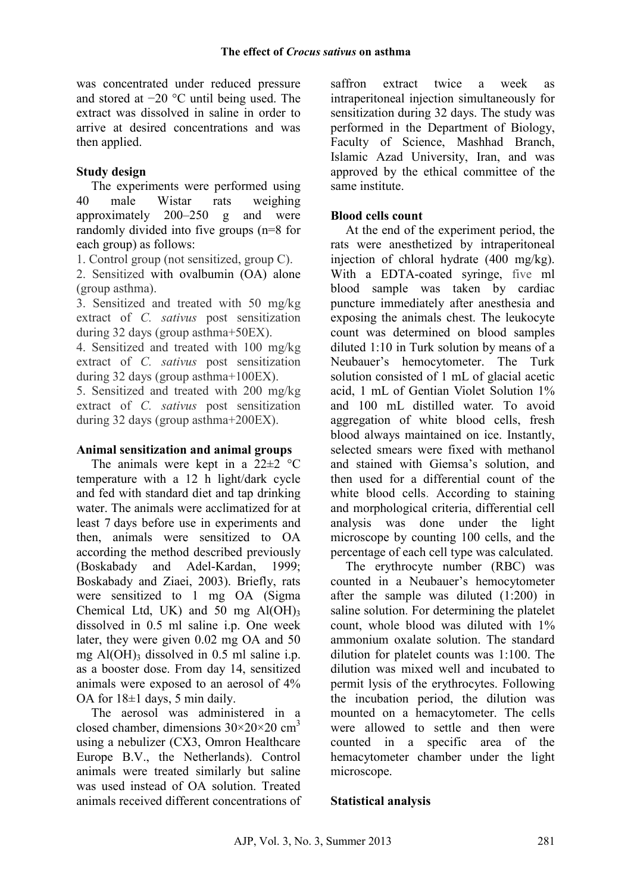was concentrated under reduced pressure and stored at −20 °C until being used. The extract was dissolved in saline in order to arrive at desired concentrations and was then applied.

#### **Study design**

The experiments were performed using 40 male Wistar rats weighing approximately 200–250 g and were randomly divided into five groups (n=8 for each group) as follows:

1. Control group (not sensitized, group C).

2. Sensitized with ovalbumin (OA) alone (group asthma).

3. Sensitized and treated with 50 mg/kg extract of *C. sativus* post sensitization during 32 days (group asthma+50EX).

4. Sensitized and treated with 100 mg/kg extract of *C. sativus* post sensitization during 32 days (group asthma+100EX).

5. Sensitized and treated with 200 mg/kg extract of *C. sativus* post sensitization during 32 days (group asthma+200EX).

#### **Animal sensitization and animal groups**

The animals were kept in a  $22 \pm 2$  °C temperature with a 12 h light/dark cycle and fed with standard diet and tap drinking water. The animals were acclimatized for at least 7 days before use in experiments and then, animals were sensitized to OA according the method described previously (Boskabady and Adel-Kardan, 1999; Boskabady and Ziaei, 2003). Briefly, rats were sensitized to 1 mg OA (Sigma Chemical Ltd, UK) and 50 mg  $Al(OH)3$ dissolved in 0.5 ml saline i.p. One week later, they were given 0.02 mg OA and 50 mg  $AI(OH)$ <sub>3</sub> dissolved in 0.5 ml saline i.p. as a booster dose. From day 14, sensitized animals were exposed to an aerosol of 4% OA for  $18\pm1$  days, 5 min daily.

The aerosol was administered in a closed chamber, dimensions  $30\times20\times20$  cm<sup>3</sup> using a nebulizer (CX3, Omron Healthcare Europe B.V., the Netherlands). Control animals were treated similarly but saline was used instead of OA solution. Treated animals received different concentrations of saffron extract twice a week as intraperitoneal injection simultaneously for sensitization during 32 days. The study was performed in the Department of Biology, Faculty of Science, Mashhad Branch, Islamic Azad University, Iran, and was approved by the ethical committee of the same institute.

#### **Blood cells count**

At the end of the experiment period, the rats were anesthetized by intraperitoneal injection of chloral hydrate (400 mg/kg). With a EDTA-coated syringe, five ml blood sample was taken by cardiac puncture immediately after anesthesia and exposing the animals chest. The leukocyte count was determined on blood samples diluted 1:10 in Turk solution by means of a Neubauer's hemocytometer. The Turk solution consisted of 1 mL of glacial acetic acid, 1 mL of Gentian Violet Solution 1% and 100 mL distilled water. To avoid aggregation of white blood cells, fresh blood always maintained on ice. Instantly, selected smears were fixed with methanol and stained with Giemsa's solution, and then used for a differential count of the white blood cells. According to staining and morphological criteria, differential cell analysis was done under the light microscope by counting 100 cells, and the percentage of each cell type was calculated.

The erythrocyte number (RBC) was counted in a Neubauer's hemocytometer after the sample was diluted (1:200) in saline solution. For determining the platelet count, whole blood was diluted with 1% ammonium oxalate solution. The standard dilution for platelet counts was 1:100. The dilution was mixed well and incubated to permit lysis of the erythrocytes. Following the incubation period, the dilution was mounted on a hemacytometer. The cells were allowed to settle and then were counted in a specific area of the hemacytometer chamber under the light microscope.

### **Statistical analysis**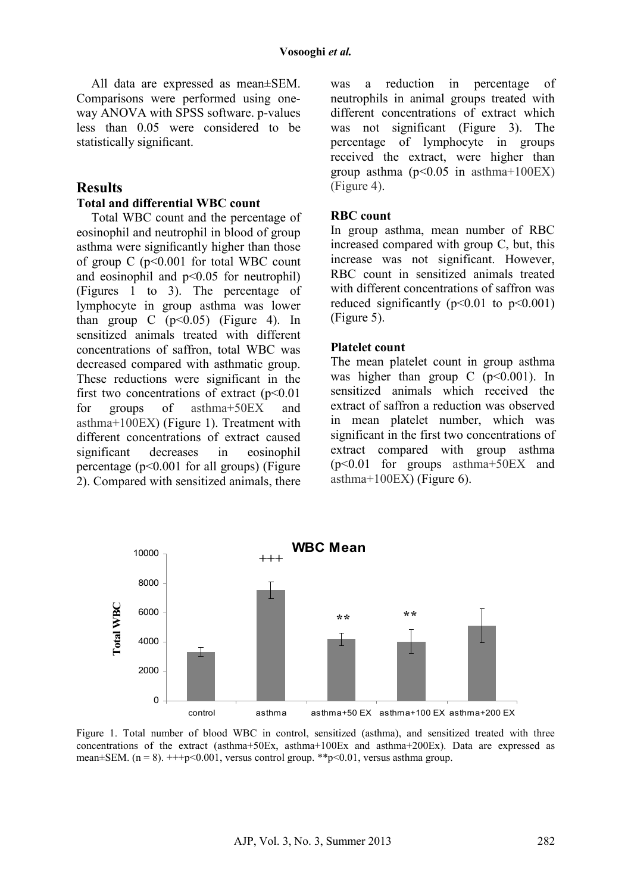All data are expressed as mean±SEM. Comparisons were performed using oneway ANOVA with SPSS software. p-values less than 0.05 were considered to be statistically significant.

#### **Results**

#### **Total and differential WBC count**

Total WBC count and the percentage of eosinophil and neutrophil in blood of group asthma were significantly higher than those of group  $C$  ( $p<0.001$  for total WBC count and eosinophil and  $p<0.05$  for neutrophil) (Figures 1 to 3). The percentage of lymphocyte in group asthma was lower than group  $C$  ( $p<0.05$ ) (Figure 4). In sensitized animals treated with different concentrations of saffron, total WBC was decreased compared with asthmatic group. These reductions were significant in the first two concentrations of extract  $(p<0.01$ for groups of asthma+50EX and asthma+100EX) (Figure 1). Treatment with different concentrations of extract caused significant decreases in eosinophil percentage (p<0.001 for all groups) (Figure 2). Compared with sensitized animals, there was a reduction in percentage of neutrophils in animal groups treated with different concentrations of extract which was not significant (Figure 3). The percentage of lymphocyte in groups received the extract, were higher than group asthma  $(p<0.05$  in asthma+100EX) (Figure 4).

#### **RBC count**

In group asthma, mean number of RBC increased compared with group C, but, this increase was not significant. However, RBC count in sensitized animals treated with different concentrations of saffron was reduced significantly ( $p<0.01$  to  $p<0.001$ ) (Figure 5).

#### **Platelet count**

The mean platelet count in group asthma was higher than group  $C$  ( $p<0.001$ ). In sensitized animals which received the extract of saffron a reduction was observed in mean platelet number, which was significant in the first two concentrations of extract compared with group asthma (p<0.01 for groups asthma+50EX and asthma+100EX) (Figure 6).



Figure 1. Total number of blood WBC in control, sensitized (asthma), and sensitized treated with three concentrations of the extract (asthma+50Ex, asthma+100Ex and asthma+200Ex). Data are expressed as mean $\pm$ SEM. (n = 8).  $+++p<0.001$ , versus control group. \*\*p $< 0.01$ , versus asthma group.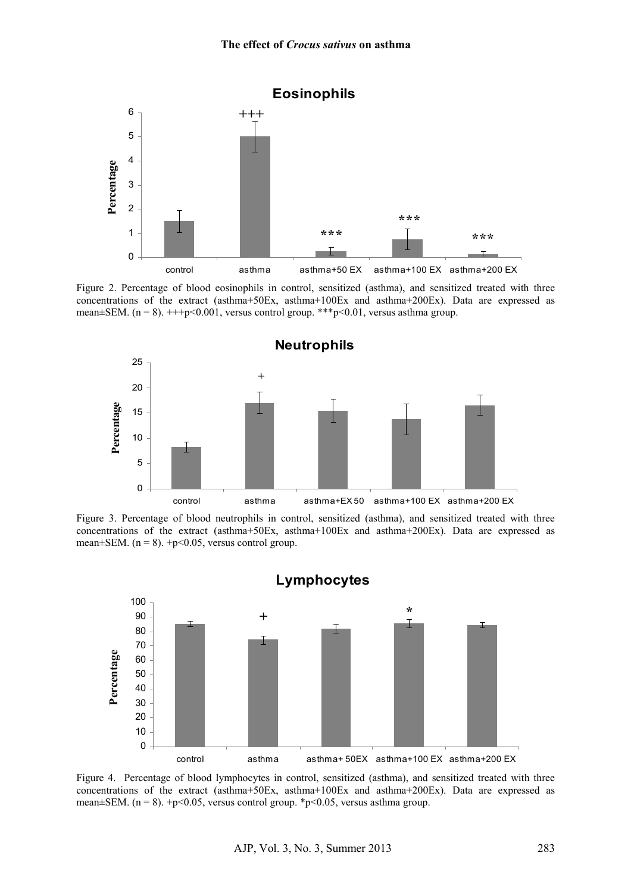

Figure 2. Percentage of blood eosinophils in control, sensitized (asthma), and sensitized treated with three concentrations of the extract (asthma+50Ex, asthma+100Ex and asthma+200Ex). Data are expressed as mean $\pm$ SEM. (n = 8).  $++$ +p<0.001, versus control group. \*\*\*p<0.01, versus asthma group.



Figure 3. Percentage of blood neutrophils in control, sensitized (asthma), and sensitized treated with three concentrations of the extract (asthma+50Ex, asthma+100Ex and asthma+200Ex). Data are expressed as mean $\pm$ SEM. (n = 8). +p<0.05, versus control group.



Figure 4. Percentage of blood lymphocytes in control, sensitized (asthma), and sensitized treated with three concentrations of the extract (asthma+50Ex, asthma+100Ex and asthma+200Ex). Data are expressed as mean $\pm$ SEM. (n = 8). +p<0.05, versus control group. \*p<0.05, versus asthma group.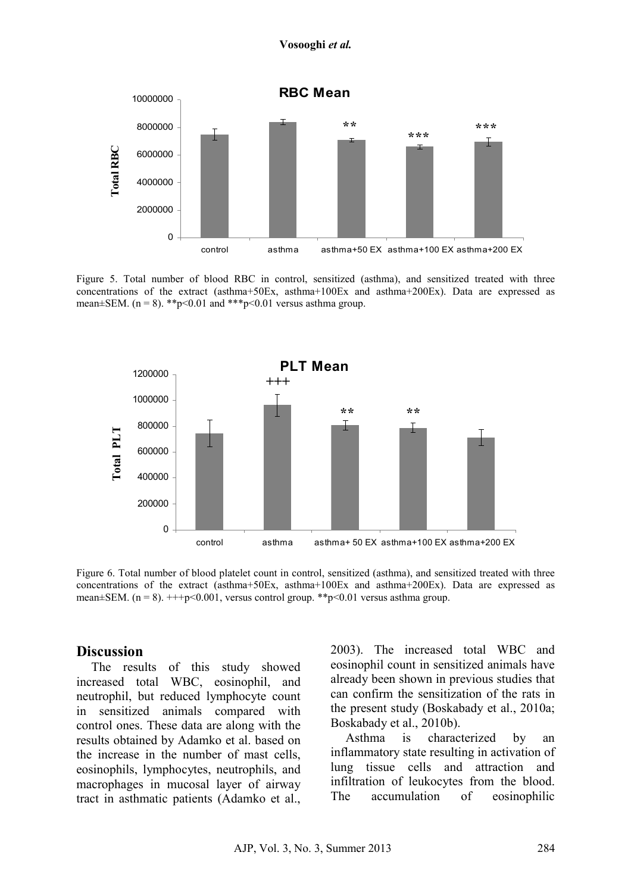

Figure 5. Total number of blood RBC in control, sensitized (asthma), and sensitized treated with three concentrations of the extract (asthma+50Ex, asthma+100Ex and asthma+200Ex). Data are expressed as mean $\pm$ SEM. (n = 8). \*\*p<0.01 and \*\*\*p<0.01 versus asthma group.



Figure 6. Total number of blood platelet count in control, sensitized (asthma), and sensitized treated with three concentrations of the extract (asthma+50Ex, asthma+100Ex and asthma+200Ex). Data are expressed as mean $\pm$ SEM. (n = 8).  $++p<0.001$ , versus control group. \*\*p $< 0.01$  versus asthma group.

#### **Discussion**

The results of this study showed increased total WBC, eosinophil, and neutrophil, but reduced lymphocyte count in sensitized animals compared with control ones. These data are along with the results obtained by Adamko et al. based on the increase in the number of mast cells, eosinophils, lymphocytes, neutrophils, and macrophages in mucosal layer of airway tract in asthmatic patients (Adamko et al., 2003). The increased total WBC and eosinophil count in sensitized animals have already been shown in previous studies that can confirm the sensitization of the rats in the present study (Boskabady et al., 2010a; Boskabady et al., 2010b).

Asthma is characterized by an inflammatory state resulting in activation of lung tissue cells and attraction and infiltration of leukocytes from the blood. The accumulation of eosinophilic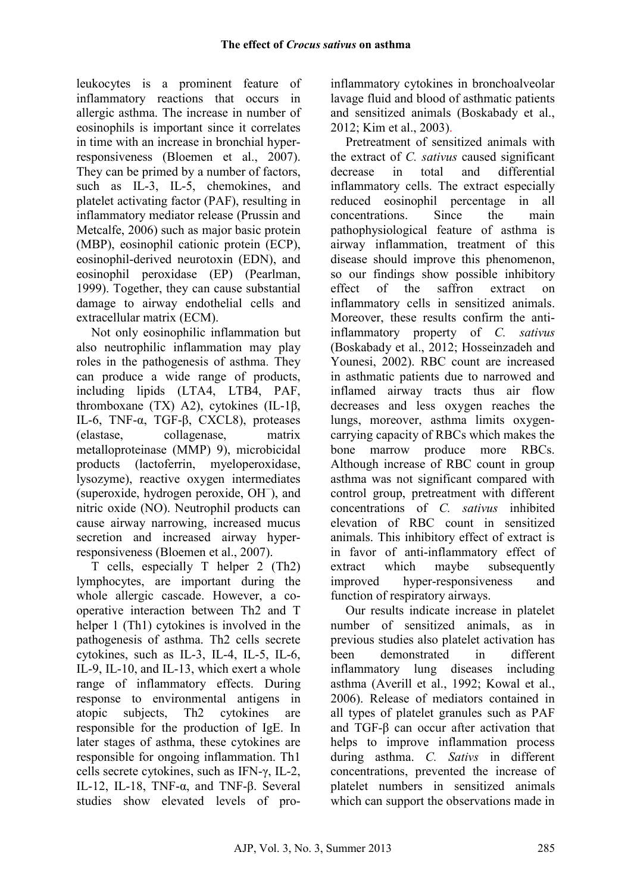leukocytes is a prominent feature of inflammatory reactions that occurs in allergic asthma. The increase in number of eosinophils is important since it correlates in time with an increase in bronchial hyperresponsiveness (Bloemen et al., 2007). They can be primed by a number of factors, such as IL-3, IL-5, chemokines, and platelet activating factor (PAF), resulting in inflammatory mediator release (Prussin and Metcalfe, 2006) such as major basic protein (MBP), eosinophil cationic protein (ECP), eosinophil-derived neurotoxin (EDN), and eosinophil peroxidase (EP) (Pearlman, 1999). Together, they can cause substantial damage to airway endothelial cells and extracellular matrix (ECM).

Not only eosinophilic inflammation but also neutrophilic inflammation may play roles in the pathogenesis of asthma. They can produce a wide range of products, including lipids (LTA4, LTB4, PAF, thromboxane (TX) A2), cytokines (IL-1β, IL-6, TNF-α, TGF-β, CXCL8), proteases (elastase, collagenase, matrix metalloproteinase (MMP) 9), microbicidal products (lactoferrin, myeloperoxidase, lysozyme), reactive oxygen intermediates (superoxide, hydrogen peroxide, OH<sup>−</sup> ), and nitric oxide (NO). Neutrophil products can cause airway narrowing, increased mucus secretion and increased airway hyperresponsiveness (Bloemen et al., 2007).

T cells, especially T helper 2 (Th2) lymphocytes, are important during the whole allergic cascade. However, a cooperative interaction between Th2 and T helper 1 (Th1) cytokines is involved in the pathogenesis of asthma. Th2 cells secrete cytokines, such as IL-3, IL-4, IL-5, IL-6, IL-9, IL-10, and IL-13, which exert a whole range of inflammatory effects. During response to environmental antigens in atopic subjects, Th2 cytokines are responsible for the production of IgE. In later stages of asthma, these cytokines are responsible for ongoing inflammation. Th1 cells secrete cytokines, such as IFN-γ, IL-2, IL-12, IL-18, TNF-α, and TNF-β. Several studies show elevated levels of proinflammatory cytokines in bronchoalveolar lavage fluid and blood of asthmatic patients and sensitized animals (Boskabady et al., 2012; Kim et al., 2003).

Pretreatment of sensitized animals with the extract of *C. sativus* caused significant decrease in total and differential inflammatory cells. The extract especially reduced eosinophil percentage in all concentrations. Since the main pathophysiological feature of asthma is airway inflammation, treatment of this disease should improve this phenomenon, so our findings show possible inhibitory effect of the saffron extract on inflammatory cells in sensitized animals. Moreover, these results confirm the antiinflammatory property of *C. sativus*  (Boskabady et al., 2012; Hosseinzadeh and Younesi, 2002). RBC count are increased in asthmatic patients due to narrowed and inflamed airway tracts thus air flow decreases and less oxygen reaches the lungs, moreover, asthma limits oxygencarrying capacity of RBCs which makes the bone marrow produce more RBCs. Although increase of RBC count in group asthma was not significant compared with control group, pretreatment with different concentrations of *C. sativus* inhibited elevation of RBC count in sensitized animals. This inhibitory effect of extract is in favor of anti-inflammatory effect of extract which maybe subsequently improved hyper-responsiveness and function of respiratory airways.

Our results indicate increase in platelet number of sensitized animals as in previous studies also platelet activation has been demonstrated in different inflammatory lung diseases including asthma (Averill et al., 1992; Kowal et al., 2006). Release of mediators contained in all types of platelet granules such as PAF and TGF-β can occur after activation that helps to improve inflammation process during asthma. *C. Sativs* in different concentrations, prevented the increase of platelet numbers in sensitized animals which can support the observations made in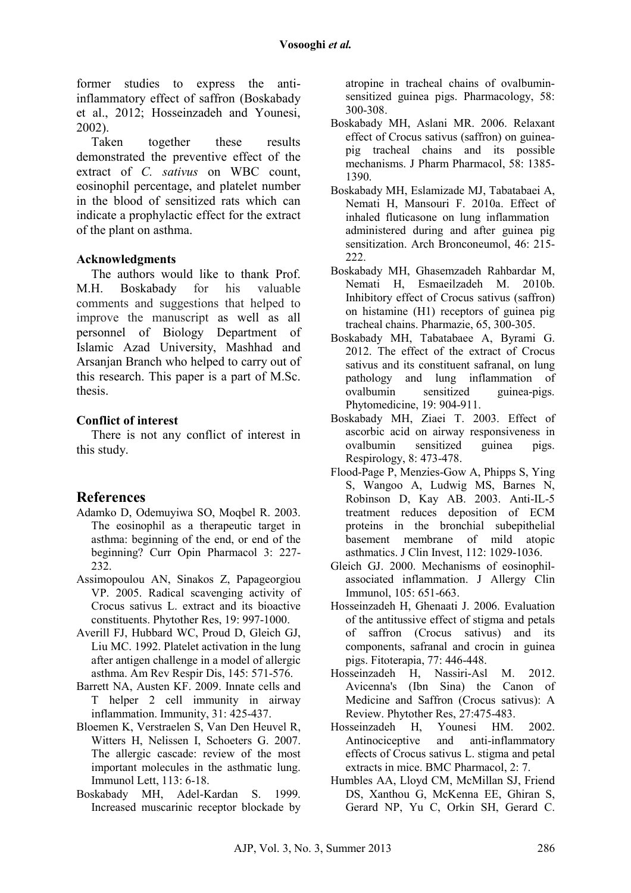former studies to express the antiinflammatory effect of saffron (Boskabady et al., 2012; Hosseinzadeh and Younesi, 2002).

Taken together these results demonstrated the preventive effect of the extract of *C. sativus* on WBC count, eosinophil percentage, and platelet number in the blood of sensitized rats which can indicate a prophylactic effect for the extract of the plant on asthma.

#### **Acknowledgments**

The authors would like to thank Prof. M.H. Boskabady for his valuable comments and suggestions that helped to improve the manuscript as well as all personnel of Biology Department of Islamic Azad University, Mashhad and Arsanjan Branch who helped to carry out of this research. This paper is a part of M.Sc. thesis.

#### **Conflict of interest**

There is not any conflict of interest in this study.

## **References**

- Adamko D, Odemuyiwa SO, Moqbel R. 2003. The eosinophil as a therapeutic target in asthma: beginning of the end, or end of the beginning? Curr Opin Pharmacol 3: 227- 232.
- Assimopoulou AN, Sinakos Z, Papageorgiou VP. 2005. Radical scavenging activity of Crocus sativus L. extract and its bioactive constituents. Phytother Res, 19: 997-1000.
- Averill FJ, Hubbard WC, Proud D, Gleich GJ, Liu MC. 1992. Platelet activation in the lung after antigen challenge in a model of allergic asthma. Am Rev Respir Dis, 145: 571-576.
- Barrett NA, Austen KF. 2009. Innate cells and T helper 2 cell immunity in airway inflammation. Immunity, 31: 425-437.
- Bloemen K, Verstraelen S, Van Den Heuvel R, Witters H, Nelissen I, Schoeters G. 2007. The allergic cascade: review of the most important molecules in the asthmatic lung. Immunol Lett, 113: 6-18.
- Boskabady MH, Adel-Kardan S. 1999. Increased muscarinic receptor blockade by

atropine in tracheal chains of ovalbuminsensitized guinea pigs. Pharmacology, 58: 300-308.

- Boskabady MH, Aslani MR. 2006. Relaxant effect of Crocus sativus (saffron) on guineapig tracheal chains and its possible mechanisms. J Pharm Pharmacol, 58: 1385- 1390.
- Boskabady MH, Eslamizade MJ, Tabatabaei A, Nemati H, Mansouri F. 2010a. Effect of inhaled fluticasone on lung inflammation administered during and after guinea pig sensitization. Arch Bronconeumol, 46: 215- 222.
- Boskabady MH, Ghasemzadeh Rahbardar M, Nemati H, Esmaeilzadeh M. 2010b. Inhibitory effect of Crocus sativus (saffron) on histamine (H1) receptors of guinea pig tracheal chains. Pharmazie, 65, 300-305.
- Boskabady MH, Tabatabaee A, Byrami G. 2012. The effect of the extract of Crocus sativus and its constituent safranal, on lung pathology and lung inflammation of ovalbumin sensitized guinea-pigs. Phytomedicine, 19: 904-911.
- Boskabady MH, Ziaei T. 2003. Effect of ascorbic acid on airway responsiveness in ovalbumin sensitized guinea pigs. Respirology, 8: 473-478.
- Flood-Page P, Menzies-Gow A, Phipps S, Ying S, Wangoo A, Ludwig MS, Barnes N, Robinson D, Kay AB. 2003. Anti-IL-5 treatment reduces deposition of ECM proteins in the bronchial subepithelial basement membrane of mild atopic asthmatics. J Clin Invest, 112: 1029-1036.
- Gleich GJ. 2000. Mechanisms of eosinophilassociated inflammation. J Allergy Clin Immunol,  $105: 651-663$ .
- Hosseinzadeh H, Ghenaati J. 2006. Evaluation of the antitussive effect of stigma and petals of saffron (Crocus sativus) and its components, safranal and crocin in guinea pigs. Fitoterapia, 77: 446-448.
- Hosseinzadeh H, Nassiri-Asl M. 2012. Avicenna's (Ibn Sina) the Canon of Medicine and Saffron (Crocus sativus): A Review. Phytother Res, 27:475-483.
- Hosseinzadeh H, Younesi HM. 2002. Antinociceptive and anti-inflammatory effects of Crocus sativus L. stigma and petal extracts in mice. BMC Pharmacol, 2: 7.
- Humbles AA, Lloyd CM, McMillan SJ, Friend DS, Xanthou G, McKenna EE, Ghiran S, Gerard NP, Yu C, Orkin SH, Gerard C.